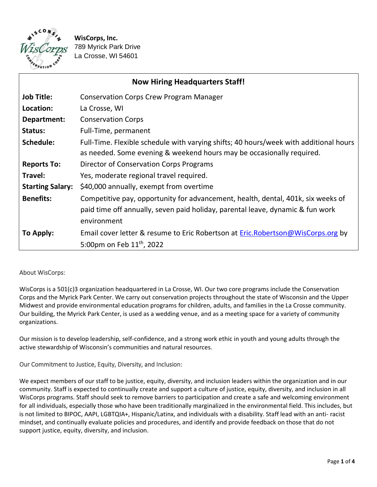

**WisCorps, Inc.**  789 Myrick Park Drive La Crosse, WI 54601

| <b>Now Hiring Headquarters Staff!</b> |                                                                                                                                                                                   |
|---------------------------------------|-----------------------------------------------------------------------------------------------------------------------------------------------------------------------------------|
| <b>Job Title:</b>                     | <b>Conservation Corps Crew Program Manager</b>                                                                                                                                    |
| Location:                             | La Crosse, WI                                                                                                                                                                     |
| Department:                           | <b>Conservation Corps</b>                                                                                                                                                         |
| Status:                               | Full-Time, permanent                                                                                                                                                              |
| Schedule:                             | Full-Time. Flexible schedule with varying shifts; 40 hours/week with additional hours<br>as needed. Some evening & weekend hours may be occasionally required.                    |
| <b>Reports To:</b>                    | Director of Conservation Corps Programs                                                                                                                                           |
| Travel:                               | Yes, moderate regional travel required.                                                                                                                                           |
| <b>Starting Salary:</b>               | \$40,000 annually, exempt from overtime                                                                                                                                           |
| <b>Benefits:</b>                      | Competitive pay, opportunity for advancement, health, dental, 401k, six weeks of<br>paid time off annually, seven paid holiday, parental leave, dynamic & fun work<br>environment |
| To Apply:                             | Email cover letter & resume to Eric Robertson at Eric.Robertson@WisCorps.org by                                                                                                   |
|                                       | 5:00pm on Feb $11^{th}$ , 2022                                                                                                                                                    |

## About WisCorps:

WisCorps is a 501(c)3 organization headquartered in La Crosse, WI. Our two core programs include the Conservation Corps and the Myrick Park Center. We carry out conservation projects throughout the state of Wisconsin and the Upper Midwest and provide environmental education programs for children, adults, and families in the La Crosse community. Our building, the Myrick Park Center, is used as a wedding venue, and as a meeting space for a variety of community organizations.

Our mission is to develop leadership, self-confidence, and a strong work ethic in youth and young adults through the active stewardship of Wisconsin's communities and natural resources.

## Our Commitment to Justice, Equity, Diversity, and Inclusion:

We expect members of our staff to be justice, equity, diversity, and inclusion leaders within the organization and in our community. Staff is expected to continually create and support a culture of justice, equity, diversity, and inclusion in all WisCorps programs. Staff should seek to remove barriers to participation and create a safe and welcoming environment for all individuals, especially those who have been traditionally marginalized in the environmental field. This includes, but is not limited to BIPOC, AAPI, LGBTQIA+, Hispanic/Latinx, and individuals with a disability. Staff lead with an anti- racist mindset, and continually evaluate policies and procedures, and identify and provide feedback on those that do not support justice, equity, diversity, and inclusion.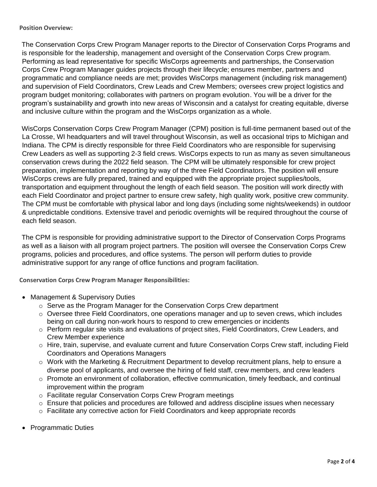## **Position Overview:**

The Conservation Corps Crew Program Manager reports to the Director of Conservation Corps Programs and is responsible for the leadership, management and oversight of the Conservation Corps Crew program. Performing as lead representative for specific WisCorps agreements and partnerships, the Conservation Corps Crew Program Manager guides projects through their lifecycle; ensures member, partners and programmatic and compliance needs are met; provides WisCorps management (including risk management) and supervision of Field Coordinators, Crew Leads and Crew Members; oversees crew project logistics and program budget monitoring; collaborates with partners on program evolution. You will be a driver for the program's sustainability and growth into new areas of Wisconsin and a catalyst for creating equitable, diverse and inclusive culture within the program and the WisCorps organization as a whole.

WisCorps Conservation Corps Crew Program Manager (CPM) position is full-time permanent based out of the La Crosse, WI headquarters and will travel throughout Wisconsin, as well as occasional trips to Michigan and Indiana. The CPM is directly responsible for three Field Coordinators who are responsible for supervising Crew Leaders as well as supporting 2-3 field crews. WisCorps expects to run as many as seven simultaneous conservation crews during the 2022 field season. The CPM will be ultimately responsible for crew project preparation, implementation and reporting by way of the three Field Coordinators. The position will ensure WisCorps crews are fully prepared, trained and equipped with the appropriate project supplies/tools, transportation and equipment throughout the length of each field season. The position will work directly with each Field Coordinator and project partner to ensure crew safety, high quality work, positive crew community. The CPM must be comfortable with physical labor and long days (including some nights/weekends) in outdoor & unpredictable conditions. Extensive travel and periodic overnights will be required throughout the course of each field season.

The CPM is responsible for providing administrative support to the Director of Conservation Corps Programs as well as a liaison with all program project partners. The position will oversee the Conservation Corps Crew programs, policies and procedures, and office systems. The person will perform duties to provide administrative support for any range of office functions and program facilitation.

**Conservation Corps Crew Program Manager Responsibilities:** 

- Management & Supervisory Duties
	- $\circ$  Serve as the Program Manager for the Conservation Corps Crew department
	- $\circ$  Oversee three Field Coordinators, one operations manager and up to seven crews, which includes being on call during non-work hours to respond to crew emergencies or incidents
	- $\circ$  Perform regular site visits and evaluations of project sites, Field Coordinators, Crew Leaders, and Crew Member experience
	- o Hire, train, supervise, and evaluate current and future Conservation Corps Crew staff, including Field Coordinators and Operations Managers
	- o Work with the Marketing & Recruitment Department to develop recruitment plans, help to ensure a diverse pool of applicants, and oversee the hiring of field staff, crew members, and crew leaders
	- $\circ$  Promote an environment of collaboration, effective communication, timely feedback, and continual improvement within the program
	- o Facilitate regular Conservation Corps Crew Program meetings
	- o Ensure that policies and procedures are followed and address discipline issues when necessary
	- o Facilitate any corrective action for Field Coordinators and keep appropriate records
- Programmatic Duties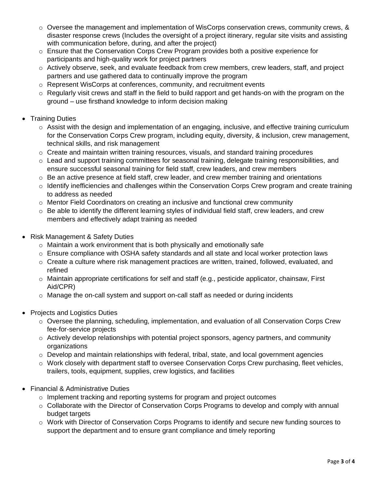- $\circ$  Oversee the management and implementation of WisCorps conservation crews, community crews, & disaster response crews (Includes the oversight of a project itinerary, regular site visits and assisting with communication before, during, and after the project)
- o Ensure that the Conservation Corps Crew Program provides both a positive experience for participants and high-quality work for project partners
- o Actively observe, seek, and evaluate feedback from crew members, crew leaders, staff, and project partners and use gathered data to continually improve the program
- o Represent WisCorps at conferences, community, and recruitment events
- $\circ$  Regularly visit crews and staff in the field to build rapport and get hands-on with the program on the ground – use firsthand knowledge to inform decision making
- **Training Duties** 
	- o Assist with the design and implementation of an engaging, inclusive, and effective training curriculum for the Conservation Corps Crew program, including equity, diversity, & inclusion, crew management, technical skills, and risk management
	- o Create and maintain written training resources, visuals, and standard training procedures
	- $\circ$  Lead and support training committees for seasonal training, delegate training responsibilities, and ensure successful seasonal training for field staff, crew leaders, and crew members
	- $\circ$  Be an active presence at field staff, crew leader, and crew member training and orientations
	- $\circ$  Identify inefficiencies and challenges within the Conservation Corps Crew program and create training to address as needed
	- $\circ$  Mentor Field Coordinators on creating an inclusive and functional crew community
	- $\circ$  Be able to identify the different learning styles of individual field staff, crew leaders, and crew members and effectively adapt training as needed
- Risk Management & Safety Duties
	- o Maintain a work environment that is both physically and emotionally safe
	- o Ensure compliance with OSHA safety standards and all state and local worker protection laws
	- $\circ$  Create a culture where risk management practices are written, trained, followed, evaluated, and refined
	- $\circ$  Maintain appropriate certifications for self and staff (e.g., pesticide applicator, chainsaw, First Aid/CPR)
	- $\circ$  Manage the on-call system and support on-call staff as needed or during incidents
- Projects and Logistics Duties
	- $\circ$  Oversee the planning, scheduling, implementation, and evaluation of all Conservation Corps Crew fee-for-service projects
	- o Actively develop relationships with potential project sponsors, agency partners, and community organizations
	- $\circ$  Develop and maintain relationships with federal, tribal, state, and local government agencies
	- $\circ$  Work closely with department staff to oversee Conservation Corps Crew purchasing, fleet vehicles, trailers, tools, equipment, supplies, crew logistics, and facilities
- Financial & Administrative Duties
	- $\circ$  Implement tracking and reporting systems for program and project outcomes
	- $\circ$  Collaborate with the Director of Conservation Corps Programs to develop and comply with annual budget targets
	- o Work with Director of Conservation Corps Programs to identify and secure new funding sources to support the department and to ensure grant compliance and timely reporting